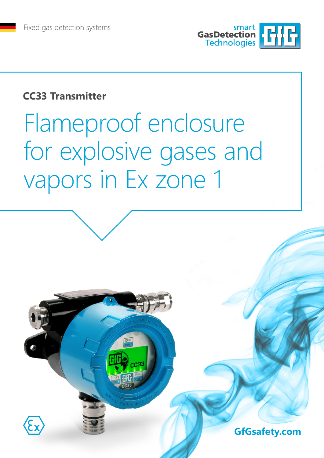

### **CC33 Transmitter**

# Flameproof enclosure for explosive gases and vapors in Ex zone 1